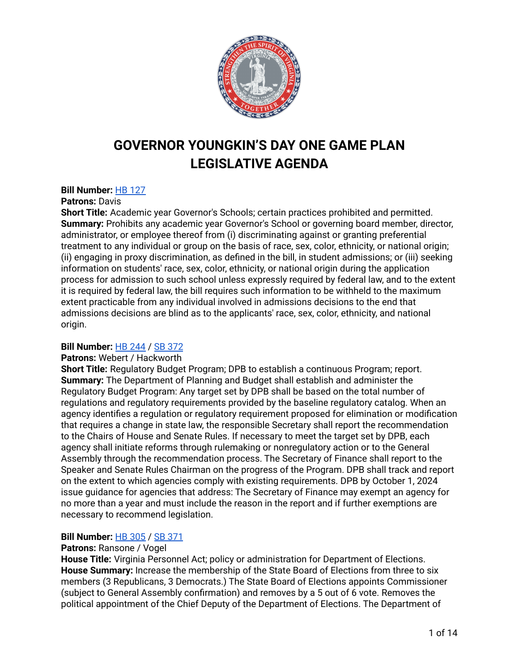

# **GOVERNOR YOUNGKIN'S DAY ONE GAME PLAN LEGISLATIVE AGENDA**

# **Bill Number:** HB [127](https://lis.virginia.gov/cgi-bin/legp604.exe?ses=221&typ=bil&val=hb127)

### **Patrons:** Davis

**Short Title:** Academic year Governor's Schools; certain practices prohibited and permitted. **Summary:** Prohibits any academic year Governor's School or governing board member, director, administrator, or employee thereof from (i) discriminating against or granting preferential treatment to any individual or group on the basis of race, sex, color, ethnicity, or national origin; (ii) engaging in proxy discrimination, as defined in the bill, in student admissions; or (iii) seeking information on students' race, sex, color, ethnicity, or national origin during the application process for admission to such school unless expressly required by federal law, and to the extent it is required by federal law, the bill requires such information to be withheld to the maximum extent practicable from any individual involved in admissions decisions to the end that admissions decisions are blind as to the applicants' race, sex, color, ethnicity, and national origin.

# **Bill Number:** HB [244](https://lis.virginia.gov/cgi-bin/legp604.exe?ses=221&typ=bil&val=hb244) / SB [372](https://lis.virginia.gov/cgi-bin/legp604.exe?ses=221&typ=bil&val=sb372)

# **Patrons:** Webert / Hackworth

**Short Title:** Regulatory Budget Program; DPB to establish a continuous Program; report. **Summary:** The Department of Planning and Budget shall establish and administer the Regulatory Budget Program: Any target set by DPB shall be based on the total number of regulations and regulatory requirements provided by the baseline regulatory catalog. When an agency identifies a regulation or regulatory requirement proposed for elimination or modification that requires a change in state law, the responsible Secretary shall report the recommendation to the Chairs of House and Senate Rules. If necessary to meet the target set by DPB, each agency shall initiate reforms through rulemaking or nonregulatory action or to the General Assembly through the recommendation process. The Secretary of Finance shall report to the Speaker and Senate Rules Chairman on the progress of the Program. DPB shall track and report on the extent to which agencies comply with existing requirements. DPB by October 1, 2024 issue guidance for agencies that address: The Secretary of Finance may exempt an agency for no more than a year and must include the reason in the report and if further exemptions are necessary to recommend legislation.

# **Bill Number:** HB [305](https://lis.virginia.gov/cgi-bin/legp604.exe?ses=221&typ=bil&val=hb305) / SB [371](https://lis.virginia.gov/cgi-bin/legp604.exe?ses=221&typ=bil&val=sb371)

### **Patrons:** Ransone / Vogel

**House Title:** Virginia Personnel Act; policy or administration for Department of Elections. **House Summary:** Increase the membership of the State Board of Elections from three to six members (3 Republicans, 3 Democrats.) The State Board of Elections appoints Commissioner (subject to General Assembly confirmation) and removes by a 5 out of 6 vote. Removes the political appointment of the Chief Deputy of the Department of Elections. The Department of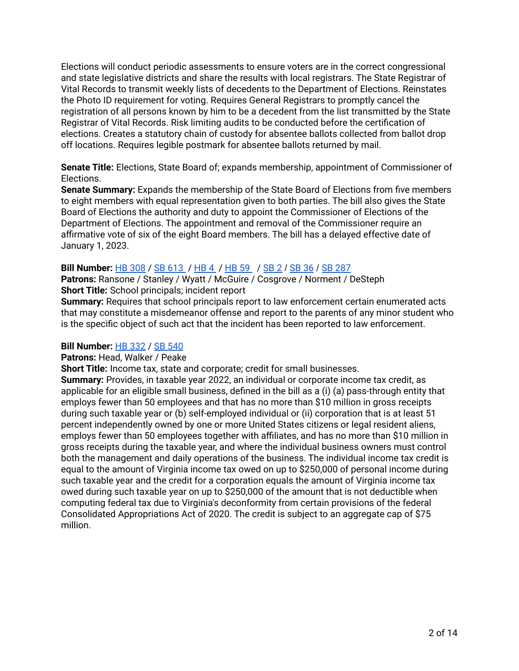Elections will conduct periodic assessments to ensure voters are in the correct congressional and state legislative districts and share the results with local registrars. The State Registrar of Vital Records to transmit weekly lists of decedents to the Department of Elections. Reinstates the Photo ID requirement for voting. Requires General Registrars to promptly cancel the registration of all persons known by him to be a decedent from the list transmitted by the State Registrar of Vital Records. Risk limiting audits to be conducted before the certification of elections. Creates a statutory chain of custody for absentee ballots collected from ballot drop off locations. Requires legible postmark for absentee ballots returned by mail.

**Senate Title:** Elections, State Board of; expands membership, appointment of Commissioner of Elections.

**Senate Summary:** Expands the membership of the State Board of Elections from five members to eight members with equal representation given to both parties. The bill also gives the State Board of Elections the authority and duty to appoint the Commissioner of Elections of the Department of Elections. The appointment and removal of the Commissioner require an affirmative vote of six of the eight Board members. The bill has a delayed effective date of January 1, 2023.

# **Bill Number:** HB [308](https://lis.virginia.gov/cgi-bin/legp604.exe?ses=221&typ=bil&val=hb308) / SB [613](https://lis.virginia.gov/cgi-bin/legp604.exe?ses=221&typ=bil&val=sb613) / [HB](https://lis.virginia.gov/cgi-bin/legp604.exe?ses=221&typ=bil&val=HB4) 4 / [HB](https://lis.virginia.gov/cgi-bin/legp604.exe?ses=221&typ=bil&val=HB59) 59 / [SB](https://lis.virginia.gov/cgi-bin/legp604.exe?ses=221&typ=bil&val=sb2) 2 / [SB](https://lis.virginia.gov/cgi-bin/legp604.exe?ses=221&typ=bil&val=sb36) 36 / SB [287](https://lis.virginia.gov/cgi-bin/legp604.exe?ses=221&typ=bil&val=sb287)

**Patrons:** Ransone / Stanley / Wyatt / McGuire / Cosgrove / Norment / DeSteph **Short Title:** School principals; incident report

**Summary:** Requires that school principals report to law enforcement certain enumerated acts that may constitute a misdemeanor offense and report to the parents of any minor student who is the specific object of such act that the incident has been reported to law enforcement.

# **Bill Number:** HB [332](https://lis.virginia.gov/cgi-bin/legp604.exe?ses=221&typ=bil&val=hb332) / SB [540](https://lis.virginia.gov/cgi-bin/legp604.exe?ses=221&typ=bil&val=sb540)

### **Patrons:** Head, Walker / Peake

**Short Title:** Income tax, state and corporate; credit for small businesses.

**Summary:** Provides, in taxable year 2022, an individual or corporate income tax credit, as applicable for an eligible small business, defined in the bill as a (i) (a) pass-through entity that employs fewer than 50 employees and that has no more than \$10 million in gross receipts during such taxable year or (b) self-employed individual or (ii) corporation that is at least 51 percent independently owned by one or more United States citizens or legal resident aliens, employs fewer than 50 employees together with affiliates, and has no more than \$10 million in gross receipts during the taxable year, and where the individual business owners must control both the management and daily operations of the business. The individual income tax credit is equal to the amount of Virginia income tax owed on up to \$250,000 of personal income during such taxable year and the credit for a corporation equals the amount of Virginia income tax owed during such taxable year on up to \$250,000 of the amount that is not deductible when computing federal tax due to Virginia's deconformity from certain provisions of the federal Consolidated Appropriations Act of 2020. The credit is subject to an aggregate cap of \$75 million.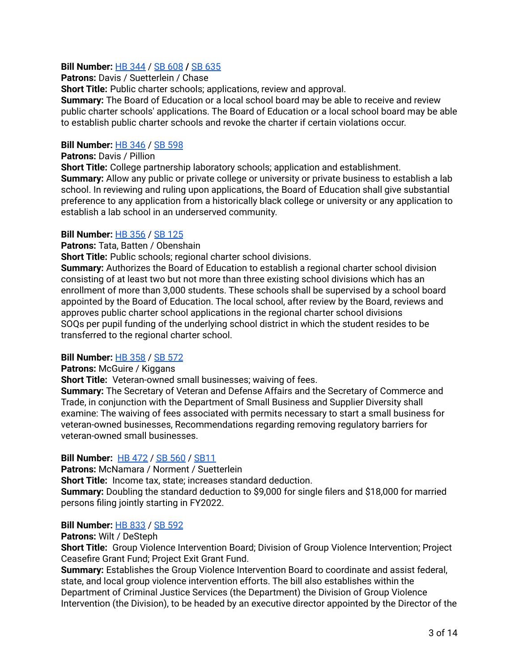# **Bill Number:** HB [344](https://lis.virginia.gov/cgi-bin/legp604.exe?ses=221&typ=bil&val=hb344) / SB [608](https://lis.virginia.gov/cgi-bin/legp604.exe?ses=221&typ=bil&val=sb608) **/** SB [635](https://lis.virginia.gov/cgi-bin/legp604.exe?ses=221&typ=bil&val=sb635)

**Patrons:** Davis / Suetterlein / Chase

**Short Title:** Public charter schools; applications, review and approval.

**Summary:** The Board of Education or a local school board may be able to receive and review public charter schools' applications. The Board of Education or a local school board may be able to establish public charter schools and revoke the charter if certain violations occur.

# **Bill Number:** HB [346](https://lis.virginia.gov/cgi-bin/legp604.exe?ses=221&typ=bil&val=hb346) / SB [598](https://lis.virginia.gov/cgi-bin/legp604.exe?ses=221&typ=bil&val=sb598)

**Patrons:** Davis / Pillion

**Short Title:** College partnership laboratory schools; application and establishment. **Summary:** Allow any public or private college or university or private business to establish a lab school. In reviewing and ruling upon applications, the Board of Education shall give substantial preference to any application from a historically black college or university or any application to establish a lab school in an underserved community.

# **Bill Number:** HB [356](https://lis.virginia.gov/cgi-bin/legp604.exe?ses=221&typ=bil&val=hb356) / SB [125](https://lis.virginia.gov/cgi-bin/legp604.exe?ses=221&typ=bil&val=sb125)

**Patrons:** Tata, Batten / Obenshain

**Short Title:** Public schools; regional charter school divisions.

**Summary:** Authorizes the Board of Education to establish a regional charter school division consisting of at least two but not more than three existing school divisions which has an enrollment of more than 3,000 students. These schools shall be supervised by a school board appointed by the Board of Education. The local school, after review by the Board, reviews and approves public charter school applications in the regional charter school divisions SOQs per pupil funding of the underlying school district in which the student resides to be transferred to the regional charter school.

# **Bill Number:** HB [358](https://lis.virginia.gov/cgi-bin/legp604.exe?ses=221&typ=bil&val=hb358) / SB [572](https://lis.virginia.gov/cgi-bin/legp604.exe?ses=221&typ=bil&val=sb572)

# **Patrons:** McGuire / Kiggans

**Short Title:** Veteran-owned small businesses; waiving of fees.

**Summary:** The Secretary of Veteran and Defense Affairs and the Secretary of Commerce and Trade, in conjunction with the Department of Small Business and Supplier Diversity shall examine: The waiving of fees associated with permits necessary to start a small business for veteran-owned businesses, Recommendations regarding removing regulatory barriers for veteran-owned small businesses.

# **Bill Number:** HB [472](https://lis.virginia.gov/cgi-bin/legp604.exe?ses=221&typ=bil&val=hb472) / SB [560](https://lis.virginia.gov/cgi-bin/legp604.exe?ses=221&typ=bil&val=sb560) / [SB11](https://lis.virginia.gov/cgi-bin/legp604.exe?ses=221&typ=bil&val=sb11)

**Patrons:** McNamara / Norment / Suetterlein **Short Title:** Income tax, state; increases standard deduction. **Summary:** Doubling the standard deduction to \$9,000 for single filers and \$18,000 for married persons filing jointly starting in FY2022.

# **Bill Number:** HB [833](https://lis.virginia.gov/cgi-bin/legp604.exe?ses=221&typ=bil&val=hb833) / SB [592](https://lis.virginia.gov/cgi-bin/legp604.exe?ses=221&typ=bil&val=sb592)

**Patrons:** Wilt / DeSteph

**Short Title:** Group Violence Intervention Board; Division of Group Violence Intervention; Project Ceasefire Grant Fund; Project Exit Grant Fund.

**Summary:** Establishes the Group Violence Intervention Board to coordinate and assist federal, state, and local group violence intervention efforts. The bill also establishes within the Department of Criminal Justice Services (the Department) the Division of Group Violence Intervention (the Division), to be headed by an executive director appointed by the Director of the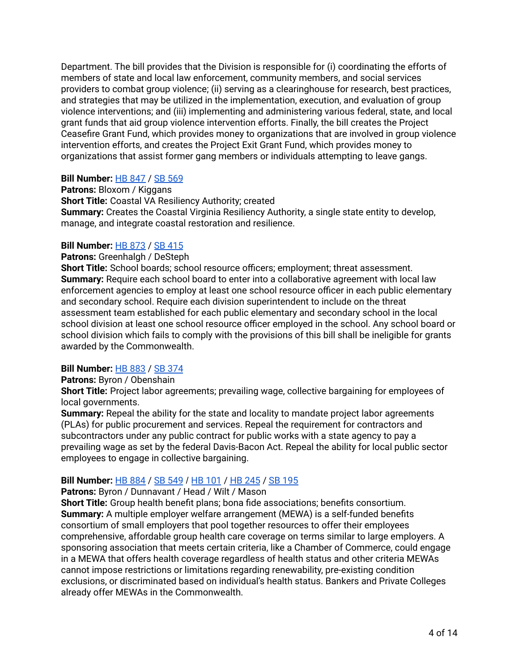Department. The bill provides that the Division is responsible for (i) coordinating the efforts of members of state and local law enforcement, community members, and social services providers to combat group violence; (ii) serving as a clearinghouse for research, best practices, and strategies that may be utilized in the implementation, execution, and evaluation of group violence interventions; and (iii) implementing and administering various federal, state, and local grant funds that aid group violence intervention efforts. Finally, the bill creates the Project Ceasefire Grant Fund, which provides money to organizations that are involved in group violence intervention efforts, and creates the Project Exit Grant Fund, which provides money to organizations that assist former gang members or individuals attempting to leave gangs.

# **Bill Number:** HB [847](https://lis.virginia.gov/cgi-bin/legp604.exe?ses=221&typ=bil&val=hb847) / SB [569](https://lis.virginia.gov/cgi-bin/legp604.exe?ses=221&typ=bil&val=sb569)

**Patrons:** Bloxom / Kiggans **Short Title:** Coastal VA Resiliency Authority; created **Summary:** Creates the Coastal Virginia Resiliency Authority, a single state entity to develop, manage, and integrate coastal restoration and resilience.

# **Bill Number:** HB [873](https://lis.virginia.gov/cgi-bin/legp604.exe?ses=221&typ=bil&val=hb873) / SB [415](https://lis.virginia.gov/cgi-bin/legp604.exe?ses=221&typ=bil&val=sb415)

### **Patrons:** Greenhalgh / DeSteph

**Short Title:** School boards; school resource officers; employment; threat assessment. **Summary:** Require each school board to enter into a collaborative agreement with local law enforcement agencies to employ at least one school resource officer in each public elementary and secondary school. Require each division superintendent to include on the threat assessment team established for each public elementary and secondary school in the local school division at least one school resource officer employed in the school. Any school board or school division which fails to comply with the provisions of this bill shall be ineligible for grants awarded by the Commonwealth.

# **Bill Number:** HB [883](https://lis.virginia.gov/cgi-bin/legp604.exe?ses=221&typ=bil&val=hb883) / SB [374](https://lis.virginia.gov/cgi-bin/legp604.exe?ses=221&typ=bil&val=sb374)

# **Patrons:** Byron / Obenshain

**Short Title:** Project labor agreements; prevailing wage, collective bargaining for employees of local governments.

**Summary:** Repeal the ability for the state and locality to mandate project labor agreements (PLAs) for public procurement and services. Repeal the requirement for contractors and subcontractors under any public contract for public works with a state agency to pay a prevailing wage as set by the federal Davis-Bacon Act. Repeal the ability for local public sector employees to engage in collective bargaining.

# **Bill Number:** HB [884](https://lis.virginia.gov/cgi-bin/legp604.exe?ses=221&typ=bil&val=hb884) / SB [549](https://lis.virginia.gov/cgi-bin/legp604.exe?ses=221&typ=bil&val=sb549) / HB [101](https://lis.virginia.gov/cgi-bin/legp604.exe?ses=221&typ=bil&val=hb101) / HB [245](https://lis.virginia.gov/cgi-bin/legp604.exe?ses=221&typ=bil&val=HB245) / SB [195](https://lis.virginia.gov/cgi-bin/legp604.exe?221+sum+SB195)

# Patrons: Byron / Dunnavant / Head / Wilt / Mason

**Short Title:** Group health benefit plans; bona fide associations; benefits consortium. **Summary:** A multiple employer welfare arrangement (MEWA) is a self-funded benefits consortium of small employers that pool together resources to offer their employees comprehensive, affordable group health care coverage on terms similar to large employers. A sponsoring association that meets certain criteria, like a Chamber of Commerce, could engage in a MEWA that offers health coverage regardless of health status and other criteria MEWAs cannot impose restrictions or limitations regarding renewability, pre-existing condition exclusions, or discriminated based on individual's health status. Bankers and Private Colleges already offer MEWAs in the Commonwealth.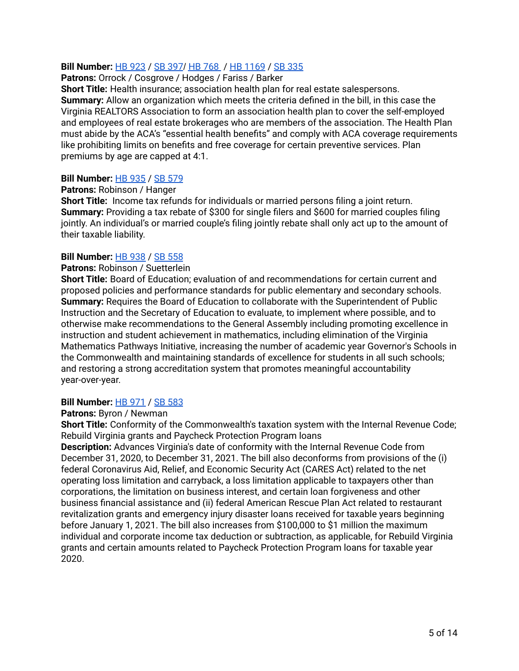# **Bill Number:** HB [923](https://lis.virginia.gov/cgi-bin/legp604.exe?ses=221&typ=bil&val=hb923) / SB [397](https://lis.virginia.gov/cgi-bin/legp604.exe?ses=221&typ=bil&val=sb397)/ HB [768](https://lis.virginia.gov/cgi-bin/legp604.exe?ses=221&typ=bil&val=hb768) / HB [1169](https://lis.virginia.gov/cgi-bin/legp604.exe?ses=221&typ=bil&val=hb1169) / SB [335](https://lis.virginia.gov/cgi-bin/legp604.exe?221+sum+SB335)

### **Patrons:** Orrock / Cosgrove / Hodges / Fariss / Barker

**Short Title:** Health insurance; association health plan for real estate salespersons. **Summary:** Allow an organization which meets the criteria defined in the bill, in this case the Virginia REALTORS Association to form an association health plan to cover the self-employed and employees of real estate brokerages who are members of the association. The Health Plan must abide by the ACA's "essential health benefits" and comply with ACA coverage requirements like prohibiting limits on benefits and free coverage for certain preventive services. Plan premiums by age are capped at 4:1.

### **Bill Number:** HB [935](https://lis.virginia.gov/cgi-bin/legp604.exe?ses=221&typ=bil&val=hb935) / SB [579](https://lis.virginia.gov/cgi-bin/legp604.exe?ses=221&typ=bil&val=sb579)

### **Patrons:** Robinson / Hanger

**Short Title:** Income tax refunds for individuals or married persons filing a joint return. **Summary:** Providing a tax rebate of \$300 for single filers and \$600 for married couples filing jointly. An individual's or married couple's filing jointly rebate shall only act up to the amount of their taxable liability.

### **Bill Number:** HB [938](https://lis.virginia.gov/cgi-bin/legp604.exe?ses=221&typ=bil&val=hb938) / SB [558](https://lis.virginia.gov/cgi-bin/legp604.exe?ses=221&typ=bil&val=sb558)

### **Patrons:** Robinson / Suetterlein

**Short Title:** Board of Education; evaluation of and recommendations for certain current and proposed policies and performance standards for public elementary and secondary schools. **Summary:** Requires the Board of Education to collaborate with the Superintendent of Public Instruction and the Secretary of Education to evaluate, to implement where possible, and to otherwise make recommendations to the General Assembly including promoting excellence in instruction and student achievement in mathematics, including elimination of the Virginia Mathematics Pathways Initiative, increasing the number of academic year Governor's Schools in the Commonwealth and maintaining standards of excellence for students in all such schools; and restoring a strong accreditation system that promotes meaningful accountability year-over-year.

### **Bill Number:** HB [971](https://lis.virginia.gov/cgi-bin/legp604.exe?ses=221&typ=bil&val=hb971) / SB [583](https://lis.virginia.gov/cgi-bin/legp604.exe?ses=221&typ=bil&val=sb583)

### **Patrons:** Byron / Newman

**Short Title:** Conformity of the Commonwealth's taxation system with the Internal Revenue Code; Rebuild Virginia grants and Paycheck Protection Program loans

**Description:** Advances Virginia's date of conformity with the Internal Revenue Code from December 31, 2020, to December 31, 2021. The bill also deconforms from provisions of the (i) federal Coronavirus Aid, Relief, and Economic Security Act (CARES Act) related to the net operating loss limitation and carryback, a loss limitation applicable to taxpayers other than corporations, the limitation on business interest, and certain loan forgiveness and other business financial assistance and (ii) federal American Rescue Plan Act related to restaurant revitalization grants and emergency injury disaster loans received for taxable years beginning before January 1, 2021. The bill also increases from \$100,000 to \$1 million the maximum individual and corporate income tax deduction or subtraction, as applicable, for Rebuild Virginia grants and certain amounts related to Paycheck Protection Program loans for taxable year 2020.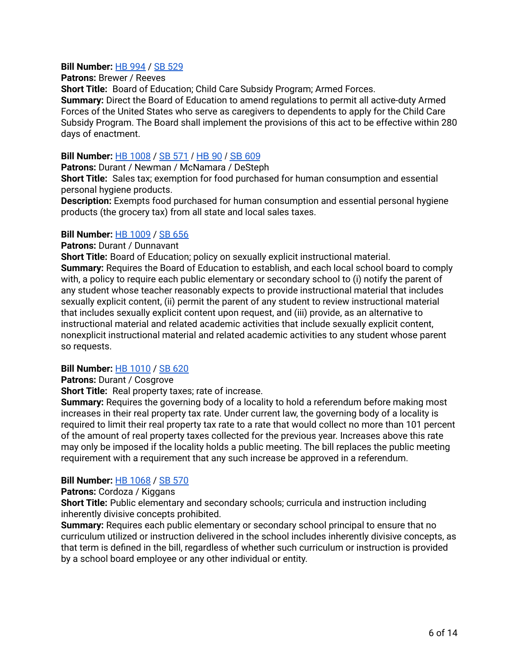# **Bill Number:** HB [994](https://lis.virginia.gov/cgi-bin/legp604.exe?ses=221&typ=bil&val=hb994) / SB [529](https://lis.virginia.gov/cgi-bin/legp604.exe?ses=221&typ=bil&val=sb529)

### **Patrons:** Brewer / Reeves

**Short Title:** Board of Education; Child Care Subsidy Program; Armed Forces. **Summary:** Direct the Board of Education to amend regulations to permit all active-duty Armed Forces of the United States who serve as caregivers to dependents to apply for the Child Care Subsidy Program. The Board shall implement the provisions of this act to be effective within 280 days of enactment.

# **Bill Number:** HB [1008](https://lis.virginia.gov/cgi-bin/legp604.exe?ses=221&typ=bil&val=hb1008) / SB [571](https://lis.virginia.gov/cgi-bin/legp604.exe?ses=221&typ=bil&val=sb571) / [HB](https://lis.virginia.gov/cgi-bin/legp604.exe?221+sum+HB90) 90 / SB [609](https://lis.virginia.gov/cgi-bin/legp604.exe?221+sum+SB609)

**Patrons:** Durant / Newman / McNamara / DeSteph

**Short Title:** Sales tax; exemption for food purchased for human consumption and essential personal hygiene products.

**Description:** Exempts food purchased for human consumption and essential personal hygiene products (the grocery tax) from all state and local sales taxes.

### **Bill Number:** HB [1009](https://lis.virginia.gov/cgi-bin/legp604.exe?ses=221&typ=bil&val=hb1009) / SB [656](https://lis.virginia.gov/cgi-bin/legp604.exe?221+sum+SB656)

**Patrons:** Durant / Dunnavant

**Short Title:** Board of Education; policy on sexually explicit instructional material. **Summary:** Requires the Board of Education to establish, and each local school board to comply with, a policy to require each public elementary or secondary school to (i) notify the parent of any student whose teacher reasonably expects to provide instructional material that includes sexually explicit content, (ii) permit the parent of any student to review instructional material that includes sexually explicit content upon request, and (iii) provide, as an alternative to instructional material and related academic activities that include sexually explicit content, nonexplicit instructional material and related academic activities to any student whose parent so requests.

# **Bill Number:** HB [1010](https://lis.virginia.gov/cgi-bin/legp604.exe?ses=221&typ=bil&val=hb1010) / SB [620](https://lis.virginia.gov/cgi-bin/legp604.exe?ses=221&typ=bil&val=sb620)

**Patrons: Durant / Cosgrove** 

**Short Title:** Real property taxes; rate of increase.

**Summary:** Requires the governing body of a locality to hold a referendum before making most increases in their real property tax rate. Under current law, the governing body of a locality is required to limit their real property tax rate to a rate that would collect no more than 101 percent of the amount of real property taxes collected for the previous year. Increases above this rate may only be imposed if the locality holds a public meeting. The bill replaces the public meeting requirement with a requirement that any such increase be approved in a referendum.

# **Bill Number:** HB [1068](https://lis.virginia.gov/cgi-bin/legp604.exe?ses=221&typ=bil&val=hb1068) / SB [570](https://lis.virginia.gov/cgi-bin/legp604.exe?ses=221&typ=bil&val=sb570)

**Patrons: Cordoza / Kiggans** 

**Short Title:** Public elementary and secondary schools; curricula and instruction including inherently divisive concepts prohibited.

**Summary:** Requires each public elementary or secondary school principal to ensure that no curriculum utilized or instruction delivered in the school includes inherently divisive concepts, as that term is defined in the bill, regardless of whether such curriculum or instruction is provided by a school board employee or any other individual or entity.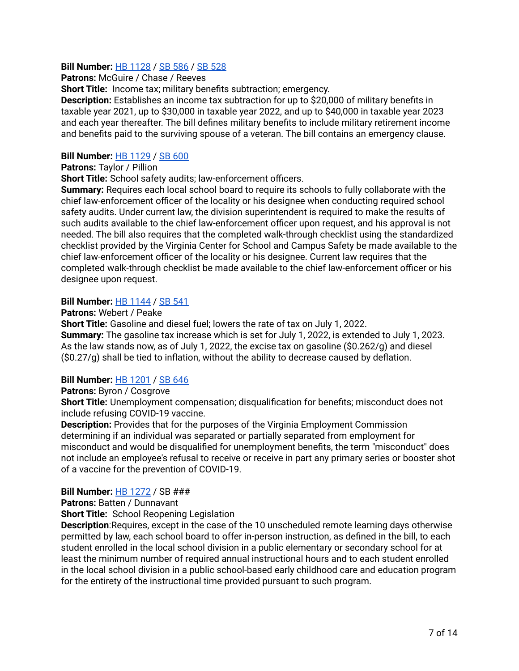# **Bill Number:** HB [1128](https://lis.virginia.gov/cgi-bin/legp604.exe?ses=221&typ=bil&val=hb1128) / SB [586](https://lis.virginia.gov/cgi-bin/legp604.exe?ses=221&typ=bil&val=sb586) / SB [528](https://lis.virginia.gov/cgi-bin/legp604.exe?221+sum+SB528)

**Patrons:** McGuire / Chase / Reeves

**Short Title:** Income tax; military benefits subtraction; emergency.

**Description:** Establishes an income tax subtraction for up to \$20,000 of military benefits in taxable year 2021, up to \$30,000 in taxable year 2022, and up to \$40,000 in taxable year 2023 and each year thereafter. The bill defines military benefits to include military retirement income and benefits paid to the surviving spouse of a veteran. The bill contains an emergency clause.

# **Bill Number:** HB [1129](https://lis.virginia.gov/cgi-bin/legp604.exe?ses=221&typ=bil&val=hb1129) / SB [600](https://lis.virginia.gov/cgi-bin/legp604.exe?ses=221&typ=bil&val=sb600)

**Patrons:** Taylor / Pillion

**Short Title:** School safety audits; law-enforcement officers.

**Summary:** Requires each local school board to require its schools to fully collaborate with the chief law-enforcement officer of the locality or his designee when conducting required school safety audits. Under current law, the division superintendent is required to make the results of such audits available to the chief law-enforcement officer upon request, and his approval is not needed. The bill also requires that the completed walk-through checklist using the standardized checklist provided by the Virginia Center for School and Campus Safety be made available to the chief law-enforcement officer of the locality or his designee. Current law requires that the completed walk-through checklist be made available to the chief law-enforcement officer or his designee upon request.

# **Bill Number:** HB [1144](https://lis.virginia.gov/cgi-bin/legp604.exe?ses=221&typ=bil&val=hb1144) / SB [541](https://lis.virginia.gov/cgi-bin/legp604.exe?ses=221&typ=bil&val=sb541)

**Patrons:** Webert / Peake

**Short Title:** Gasoline and diesel fuel; lowers the rate of tax on July 1, 2022. **Summary:** The gasoline tax increase which is set for July 1, 2022, is extended to July 1, 2023. As the law stands now, as of July 1, 2022, the excise tax on gasoline (\$0.262/g) and diesel (\$0.27/g) shall be tied to inflation, without the ability to decrease caused by deflation.

# **Bill Number:** HB [1201](https://lis.virginia.gov/cgi-bin/legp604.exe?221+sum+HB1201) / SB [646](https://lis.virginia.gov/cgi-bin/legp604.exe?221+sum+SB646)

# **Patrons:** Byron / Cosgrove

**Short Title:** Unemployment compensation; disqualification for benefits; misconduct does not include refusing COVID-19 vaccine.

**Description:** Provides that for the purposes of the Virginia Employment Commission determining if an individual was separated or partially separated from employment for misconduct and would be disqualified for unemployment benefits, the term "misconduct" does not include an employee's refusal to receive or receive in part any primary series or booster shot of a vaccine for the prevention of COVID-19.

# **Bill Number:** HB [1272](https://lis.virginia.gov/cgi-bin/legp604.exe?221+sum+HB1272) / SB ###

**Patrons:** Batten / Dunnavant

**Short Title:** School Reopening Legislation

**Description**:Requires, except in the case of the 10 unscheduled remote learning days otherwise permitted by law, each school board to offer in-person instruction, as defined in the bill, to each student enrolled in the local school division in a public elementary or secondary school for at least the minimum number of required annual instructional hours and to each student enrolled in the local school division in a public school-based early childhood care and education program for the entirety of the instructional time provided pursuant to such program.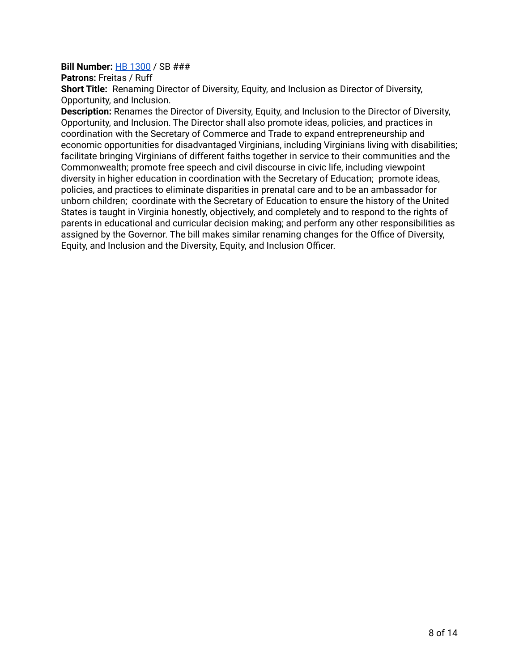# **Bill Number:** HB [1300](https://lis.virginia.gov/cgi-bin/legp604.exe?221+mbr+H279C) / SB ###

**Patrons: Freitas / Ruff** 

**Short Title:** Renaming Director of Diversity, Equity, and Inclusion as Director of Diversity, Opportunity, and Inclusion.

**Description:** Renames the Director of Diversity, Equity, and Inclusion to the Director of Diversity, Opportunity, and Inclusion. The Director shall also promote ideas, policies, and practices in coordination with the Secretary of Commerce and Trade to expand entrepreneurship and economic opportunities for disadvantaged Virginians, including Virginians living with disabilities; facilitate bringing Virginians of different faiths together in service to their communities and the Commonwealth; promote free speech and civil discourse in civic life, including viewpoint diversity in higher education in coordination with the Secretary of Education; promote ideas, policies, and practices to eliminate disparities in prenatal care and to be an ambassador for unborn children; coordinate with the Secretary of Education to ensure the history of the United States is taught in Virginia honestly, objectively, and completely and to respond to the rights of parents in educational and curricular decision making; and perform any other responsibilities as assigned by the Governor. The bill makes similar renaming changes for the Office of Diversity, Equity, and Inclusion and the Diversity, Equity, and Inclusion Officer.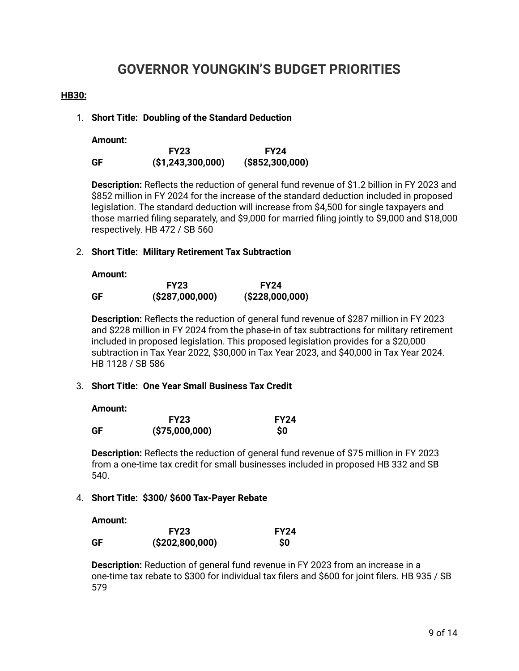# **GOVERNOR YOUNGKIN'S BUDGET PRIORITIES**

### **HB30:**

### 1. **Short Title: Doubling of the Standard Deduction**

**Amount:**

|    | <b>FY23</b>         | <b>FY24</b>        |
|----|---------------------|--------------------|
| GF | (S1, 243, 300, 000) | $($ \$852,300,000) |

**Description:** Reflects the reduction of general fund revenue of \$1.2 billion in FY 2023 and \$852 million in FY 2024 for the increase of the standard deduction included in proposed legislation. The standard deduction will increase from \$4,500 for single taxpayers and those married filing separately, and \$9,000 for married filing jointly to \$9,000 and \$18,000 respectively. HB 472 / SB 560

### 2. **Short Title: Military Retirement Tax Subtraction**

#### **Amount:**

|    | <b>FY23</b>    | <b>FY24</b>      |
|----|----------------|------------------|
| GF | (S287,000,000) | ( \$228,000,000) |

**Description:** Reflects the reduction of general fund revenue of \$287 million in FY 2023 and \$228 million in FY 2024 from the phase-in of tax subtractions for military retirement included in proposed legislation. This proposed legislation provides for a \$20,000 subtraction in Tax Year 2022, \$30,000 in Tax Year 2023, and \$40,000 in Tax Year 2024. HB 1128 / SB 586

### 3. **Short Title: One Year Small Business Tax Credit**

**Amount:**

|    | <b>FY23</b>    | <b>FY24</b> |
|----|----------------|-------------|
| GF | (\$75,000,000) | <b>SO</b>   |

**Description:** Reflects the reduction of general fund revenue of \$75 million in FY 2023 from a one-time tax credit for small businesses included in proposed HB 332 and SB 540.

# 4. **Short Title: \$300/ \$600 Tax-Payer Rebate**

**Amount:**

|    | <b>FY23</b>     | <b>FY24</b> |
|----|-----------------|-------------|
| GF | (\$202,800,000) | <b>SO</b>   |

**Description:** Reduction of general fund revenue in FY 2023 from an increase in a one-time tax rebate to \$300 for individual tax filers and \$600 for joint filers. HB 935 / SB 579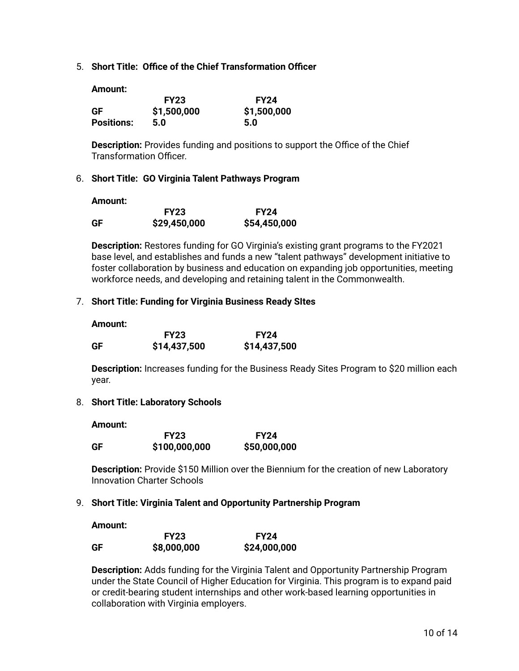5. **Short Title: Office of the Chief Transformation Officer**

**Amount:**

|                   | <b>FY23</b> | <b>FY24</b> |
|-------------------|-------------|-------------|
| GF                | \$1,500,000 | \$1,500,000 |
| <b>Positions:</b> | 5.0         | 5.0         |

**Description:** Provides funding and positions to support the Office of the Chief Transformation Officer.

# 6. **Short Title: GO Virginia Talent Pathways Program**

**Amount:**

|    | <b>FY23</b>  | <b>FY24</b>  |
|----|--------------|--------------|
| GF | \$29,450,000 | \$54,450,000 |

**Description:** Restores funding for GO Virginia's existing grant programs to the FY2021 base level, and establishes and funds a new "talent pathways" development initiative to foster collaboration by business and education on expanding job opportunities, meeting workforce needs, and developing and retaining talent in the Commonwealth.

### 7. **Short Title: Funding for Virginia Business Ready SItes**

| Amount: |              |              |
|---------|--------------|--------------|
|         | <b>FY23</b>  | <b>FY24</b>  |
| GF      | \$14,437,500 | \$14,437,500 |

**Description:** Increases funding for the Business Ready Sites Program to \$20 million each year.

### 8. **Short Title: Laboratory Schools**

**Amount:**

|    | <b>FY23</b>   | <b>FY24</b>  |
|----|---------------|--------------|
| GF | \$100,000,000 | \$50,000,000 |

**Description:** Provide \$150 Million over the Biennium for the creation of new Laboratory Innovation Charter Schools

### 9. **Short Title: Virginia Talent and Opportunity Partnership Program**

**Amount:**

|    | <b>FY23</b> | <b>FY24</b>  |
|----|-------------|--------------|
| GF | \$8,000,000 | \$24,000,000 |

**Description:** Adds funding for the Virginia Talent and Opportunity Partnership Program under the State Council of Higher Education for Virginia. This program is to expand paid or credit-bearing student internships and other work-based learning opportunities in collaboration with Virginia employers.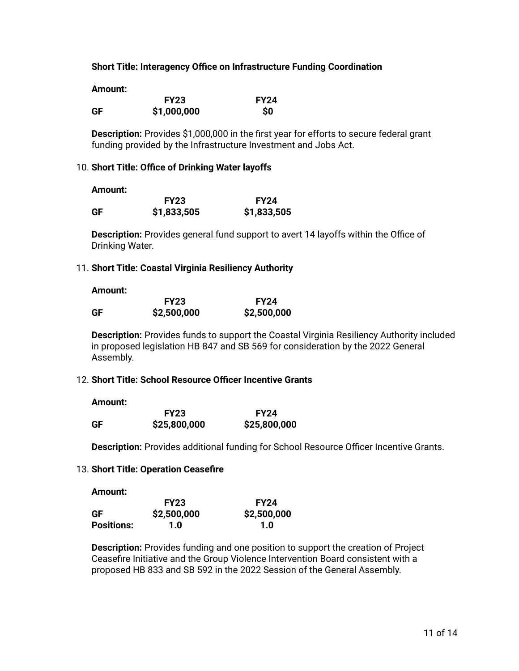### **Short Title: Interagency Office on Infrastructure Funding Coordination**

**Amount:**

|    | <b>FY23</b> | <b>FY24</b> |
|----|-------------|-------------|
| GF | \$1,000,000 | <b>SO</b>   |

**Description:** Provides \$1,000,000 in the first year for efforts to secure federal grant funding provided by the Infrastructure Investment and Jobs Act.

#### 10. **Short Title: Office of Drinking Water layoffs**

**Amount:**

|    | <b>FY23</b> | <b>FY24</b> |
|----|-------------|-------------|
| GF | \$1,833,505 | \$1,833,505 |

**Description:** Provides general fund support to avert 14 layoffs within the Office of Drinking Water.

#### 11. **Short Title: Coastal Virginia Resiliency Authority**

**Amount:**

|    | <b>FY23</b> | <b>FY24</b> |
|----|-------------|-------------|
| GF | \$2,500,000 | \$2,500,000 |

**Description:** Provides funds to support the Coastal Virginia Resiliency Authority included in proposed legislation HB 847 and SB 569 for consideration by the 2022 General Assembly.

### 12. **Short Title: School Resource Officer Incentive Grants**

**Amount:**

**Amount:**

|    | <b>FY23</b>  | <b>FY24</b>  |
|----|--------------|--------------|
| GF | \$25,800,000 | \$25,800,000 |

**Description:** Provides additional funding for School Resource Officer Incentive Grants.

### 13. **Short Title: Operation Ceasefire**

| Amount.           |             |             |
|-------------------|-------------|-------------|
|                   | <b>FY23</b> | <b>FY24</b> |
| <b>GF</b>         | \$2,500,000 | \$2,500,000 |
| <b>Positions:</b> | 1.0         | 1.0         |

**Description:** Provides funding and one position to support the creation of Project Ceasefire Initiative and the Group Violence Intervention Board consistent with a proposed HB 833 and SB 592 in the 2022 Session of the General Assembly.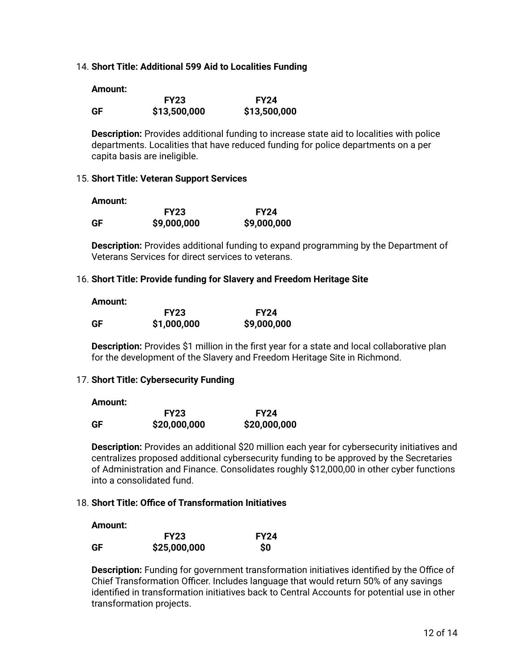### 14. **Short Title: Additional 599 Aid to Localities Funding**

|    | <b>FY23</b>  | <b>FY24</b>  |
|----|--------------|--------------|
| GF | \$13,500,000 | \$13,500,000 |

**Description:** Provides additional funding to increase state aid to localities with police departments. Localities that have reduced funding for police departments on a per capita basis are ineligible.

### 15. **Short Title: Veteran Support Services**

**Amount:**

|    | <b>FY23</b> | <b>FY24</b> |
|----|-------------|-------------|
| GF | \$9,000,000 | \$9,000,000 |

**Description:** Provides additional funding to expand programming by the Department of Veterans Services for direct services to veterans.

### 16. **Short Title: Provide funding for Slavery and Freedom Heritage Site**

| Amount: |             |             |
|---------|-------------|-------------|
|         | <b>FY23</b> | <b>FY24</b> |
| GF      | \$1,000,000 | \$9,000,000 |

**Description:** Provides \$1 million in the first year for a state and local collaborative plan for the development of the Slavery and Freedom Heritage Site in Richmond.

### 17. **Short Title: Cybersecurity Funding**

#### **Amount:**

|    | <b>FY23</b>  | <b>FY24</b>  |
|----|--------------|--------------|
| GF | \$20,000,000 | \$20,000,000 |

**Description:** Provides an additional \$20 million each year for cybersecurity initiatives and centralizes proposed additional cybersecurity funding to be approved by the Secretaries of Administration and Finance. Consolidates roughly \$12,000,00 in other cyber functions into a consolidated fund.

### 18. **Short Title: Office of Transformation Initiatives**

**Amount:**

|    | <b>FY23</b>  | <b>FY24</b> |
|----|--------------|-------------|
| GF | \$25,000,000 | <b>SO</b>   |

**Description:** Funding for government transformation initiatives identified by the Office of Chief Transformation Officer. Includes language that would return 50% of any savings identified in transformation initiatives back to Central Accounts for potential use in other transformation projects.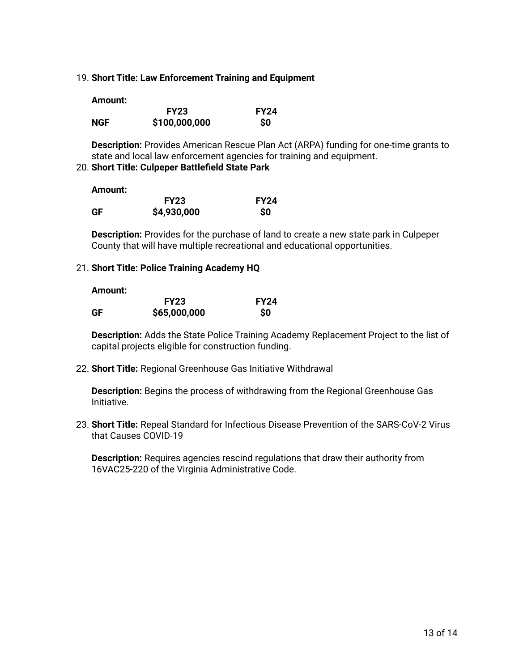19. **Short Title: Law Enforcement Training and Equipment**

| Amount: |               |             |
|---------|---------------|-------------|
|         | <b>FY23</b>   | <b>FY24</b> |
| NGF     | \$100,000,000 | <b>SO</b>   |

**Description:** Provides American Rescue Plan Act (ARPA) funding for one-time grants to state and local law enforcement agencies for training and equipment.

# 20. **Short Title: Culpeper Battlefield State Park**

| Amount: |             |             |
|---------|-------------|-------------|
|         | <b>FY23</b> | <b>FY24</b> |
| GF      | \$4,930,000 | <b>SO</b>   |

**Description:** Provides for the purchase of land to create a new state park in Culpeper County that will have multiple recreational and educational opportunities.

# 21. **Short Title: Police Training Academy HQ**

**Amount:**

|    | <b>FY23</b>  | <b>FY24</b> |
|----|--------------|-------------|
| GF | \$65,000,000 | <b>SO</b>   |

**Description:** Adds the State Police Training Academy Replacement Project to the list of capital projects eligible for construction funding.

22. **Short Title:** Regional Greenhouse Gas Initiative Withdrawal

**Description:** Begins the process of withdrawing from the Regional Greenhouse Gas Initiative.

23. **Short Title:** Repeal Standard for Infectious Disease Prevention of the SARS-CoV-2 Virus that Causes COVID-19

**Description:** Requires agencies rescind regulations that draw their authority from 16VAC25-220 of the Virginia Administrative Code.